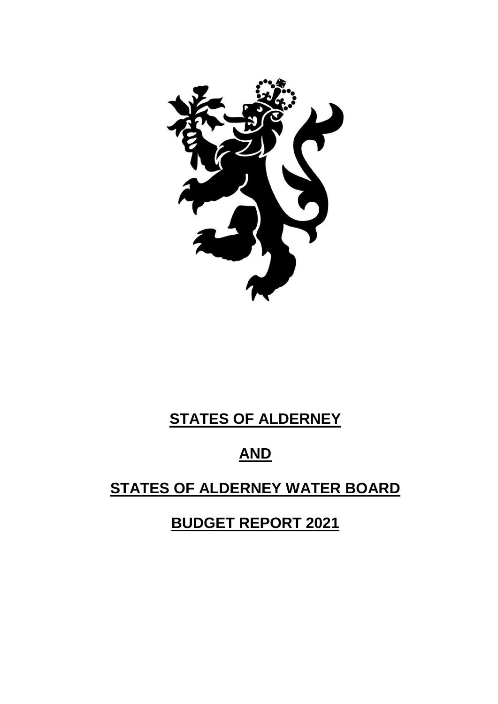

# **STATES OF ALDERNEY**

# **AND**

# **STATES OF ALDERNEY WATER BOARD**

**BUDGET REPORT 2021**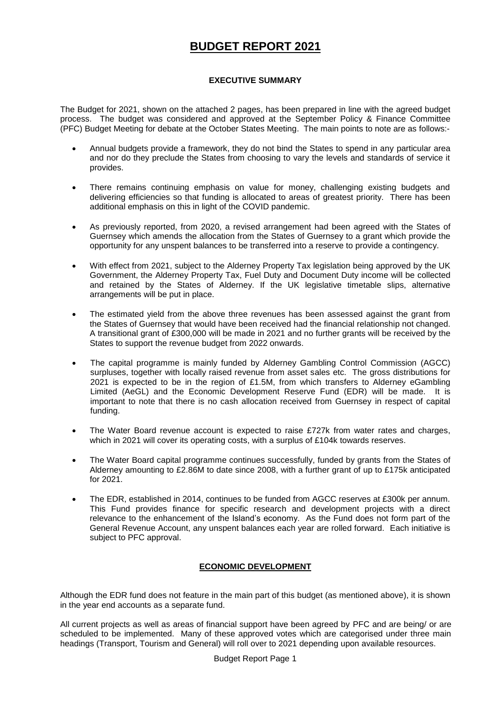# **BUDGET REPORT 2021**

# **EXECUTIVE SUMMARY**

The Budget for 2021, shown on the attached 2 pages, has been prepared in line with the agreed budget process. The budget was considered and approved at the September Policy & Finance Committee (PFC) Budget Meeting for debate at the October States Meeting. The main points to note are as follows:-

- Annual budgets provide a framework, they do not bind the States to spend in any particular area and nor do they preclude the States from choosing to vary the levels and standards of service it provides.
- There remains continuing emphasis on value for money, challenging existing budgets and delivering efficiencies so that funding is allocated to areas of greatest priority. There has been additional emphasis on this in light of the COVID pandemic.
- As previously reported, from 2020, a revised arrangement had been agreed with the States of Guernsey which amends the allocation from the States of Guernsey to a grant which provide the opportunity for any unspent balances to be transferred into a reserve to provide a contingency.
- With effect from 2021, subject to the Alderney Property Tax legislation being approved by the UK Government, the Alderney Property Tax, Fuel Duty and Document Duty income will be collected and retained by the States of Alderney. If the UK legislative timetable slips, alternative arrangements will be put in place.
- The estimated yield from the above three revenues has been assessed against the grant from the States of Guernsey that would have been received had the financial relationship not changed. A transitional grant of £300,000 will be made in 2021 and no further grants will be received by the States to support the revenue budget from 2022 onwards.
- The capital programme is mainly funded by Alderney Gambling Control Commission (AGCC) surpluses, together with locally raised revenue from asset sales etc. The gross distributions for 2021 is expected to be in the region of £1.5M, from which transfers to Alderney eGambling Limited (AeGL) and the Economic Development Reserve Fund (EDR) will be made. It is important to note that there is no cash allocation received from Guernsey in respect of capital funding.
- The Water Board revenue account is expected to raise £727k from water rates and charges, which in 2021 will cover its operating costs, with a surplus of £104k towards reserves.
- The Water Board capital programme continues successfully, funded by grants from the States of Alderney amounting to £2.86M to date since 2008, with a further grant of up to £175k anticipated for 2021.
- The EDR, established in 2014, continues to be funded from AGCC reserves at £300k per annum. This Fund provides finance for specific research and development projects with a direct relevance to the enhancement of the Island's economy. As the Fund does not form part of the General Revenue Account, any unspent balances each year are rolled forward. Each initiative is subject to PFC approval.

# **ECONOMIC DEVELOPMENT**

Although the EDR fund does not feature in the main part of this budget (as mentioned above), it is shown in the year end accounts as a separate fund.

All current projects as well as areas of financial support have been agreed by PFC and are being/ or are scheduled to be implemented. Many of these approved votes which are categorised under three main headings (Transport, Tourism and General) will roll over to 2021 depending upon available resources.

Budget Report Page 1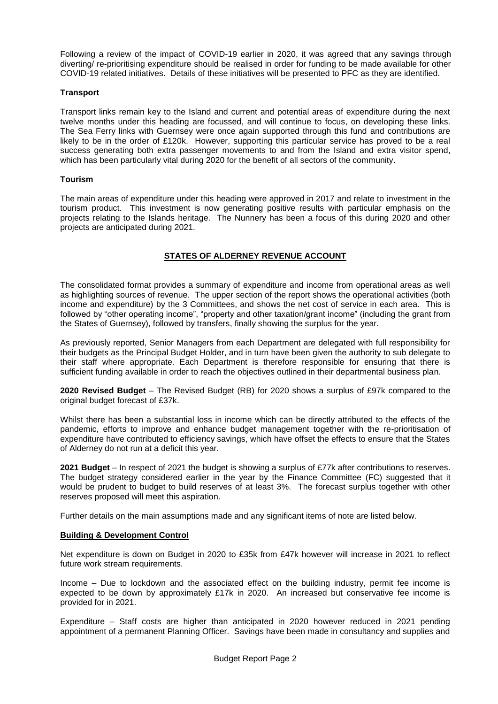Following a review of the impact of COVID-19 earlier in 2020, it was agreed that any savings through diverting/ re-prioritising expenditure should be realised in order for funding to be made available for other COVID-19 related initiatives. Details of these initiatives will be presented to PFC as they are identified.

#### **Transport**

Transport links remain key to the Island and current and potential areas of expenditure during the next twelve months under this heading are focussed, and will continue to focus, on developing these links. The Sea Ferry links with Guernsey were once again supported through this fund and contributions are likely to be in the order of £120k. However, supporting this particular service has proved to be a real success generating both extra passenger movements to and from the Island and extra visitor spend, which has been particularly vital during 2020 for the benefit of all sectors of the community.

#### **Tourism**

The main areas of expenditure under this heading were approved in 2017 and relate to investment in the tourism product. This investment is now generating positive results with particular emphasis on the projects relating to the Islands heritage. The Nunnery has been a focus of this during 2020 and other projects are anticipated during 2021.

# **STATES OF ALDERNEY REVENUE ACCOUNT**

The consolidated format provides a summary of expenditure and income from operational areas as well as highlighting sources of revenue. The upper section of the report shows the operational activities (both income and expenditure) by the 3 Committees, and shows the net cost of service in each area. This is followed by "other operating income", "property and other taxation/grant income" (including the grant from the States of Guernsey), followed by transfers, finally showing the surplus for the year.

As previously reported, Senior Managers from each Department are delegated with full responsibility for their budgets as the Principal Budget Holder, and in turn have been given the authority to sub delegate to their staff where appropriate. Each Department is therefore responsible for ensuring that there is sufficient funding available in order to reach the objectives outlined in their departmental business plan.

**2020 Revised Budget** – The Revised Budget (RB) for 2020 shows a surplus of £97k compared to the original budget forecast of £37k.

Whilst there has been a substantial loss in income which can be directly attributed to the effects of the pandemic, efforts to improve and enhance budget management together with the re-prioritisation of expenditure have contributed to efficiency savings, which have offset the effects to ensure that the States of Alderney do not run at a deficit this year.

**2021 Budget** – In respect of 2021 the budget is showing a surplus of £77k after contributions to reserves. The budget strategy considered earlier in the year by the Finance Committee (FC) suggested that it would be prudent to budget to build reserves of at least 3%. The forecast surplus together with other reserves proposed will meet this aspiration.

Further details on the main assumptions made and any significant items of note are listed below.

### **Building & Development Control**

Net expenditure is down on Budget in 2020 to £35k from £47k however will increase in 2021 to reflect future work stream requirements.

Income – Due to lockdown and the associated effect on the building industry, permit fee income is expected to be down by approximately £17k in 2020. An increased but conservative fee income is provided for in 2021.

Expenditure – Staff costs are higher than anticipated in 2020 however reduced in 2021 pending appointment of a permanent Planning Officer. Savings have been made in consultancy and supplies and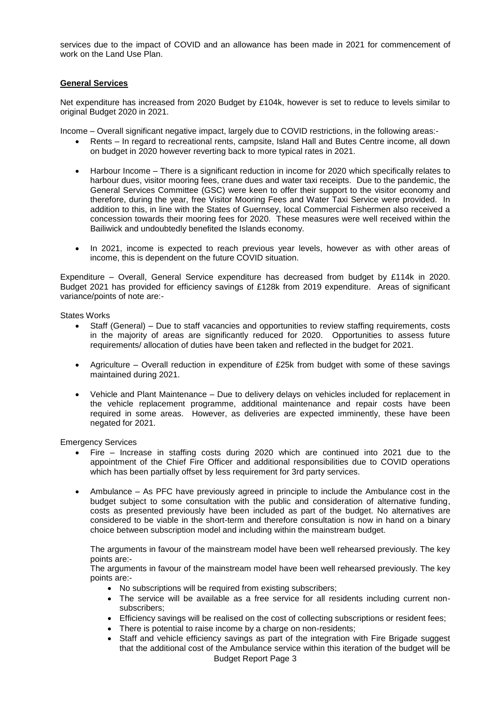services due to the impact of COVID and an allowance has been made in 2021 for commencement of work on the Land Use Plan.

#### **General Services**

Net expenditure has increased from 2020 Budget by £104k, however is set to reduce to levels similar to original Budget 2020 in 2021.

Income – Overall significant negative impact, largely due to COVID restrictions, in the following areas:-

- Rents In regard to recreational rents, campsite, Island Hall and Butes Centre income, all down on budget in 2020 however reverting back to more typical rates in 2021.
- Harbour Income There is a significant reduction in income for 2020 which specifically relates to harbour dues, visitor mooring fees, crane dues and water taxi receipts. Due to the pandemic, the General Services Committee (GSC) were keen to offer their support to the visitor economy and therefore, during the year, free Visitor Mooring Fees and Water Taxi Service were provided. In addition to this, in line with the States of Guernsey, local Commercial Fishermen also received a concession towards their mooring fees for 2020. These measures were well received within the Bailiwick and undoubtedly benefited the Islands economy.
- In 2021, income is expected to reach previous year levels, however as with other areas of income, this is dependent on the future COVID situation.

Expenditure – Overall, General Service expenditure has decreased from budget by £114k in 2020. Budget 2021 has provided for efficiency savings of £128k from 2019 expenditure. Areas of significant variance/points of note are:-

States Works

- Staff (General) Due to staff vacancies and opportunities to review staffing requirements, costs in the majority of areas are significantly reduced for 2020. Opportunities to assess future requirements/ allocation of duties have been taken and reflected in the budget for 2021.
- Agriculture Overall reduction in expenditure of £25k from budget with some of these savings maintained during 2021.
- Vehicle and Plant Maintenance Due to delivery delays on vehicles included for replacement in the vehicle replacement programme, additional maintenance and repair costs have been required in some areas. However, as deliveries are expected imminently, these have been negated for 2021.

Emergency Services

- Fire Increase in staffing costs during 2020 which are continued into 2021 due to the appointment of the Chief Fire Officer and additional responsibilities due to COVID operations which has been partially offset by less requirement for 3rd party services.
- Ambulance As PFC have previously agreed in principle to include the Ambulance cost in the budget subject to some consultation with the public and consideration of alternative funding, costs as presented previously have been included as part of the budget. No alternatives are considered to be viable in the short-term and therefore consultation is now in hand on a binary choice between subscription model and including within the mainstream budget.

The arguments in favour of the mainstream model have been well rehearsed previously. The key points are:-

The arguments in favour of the mainstream model have been well rehearsed previously. The key points are:-

- No subscriptions will be required from existing subscribers;
- The service will be available as a free service for all residents including current nonsubscribers;
- Efficiency savings will be realised on the cost of collecting subscriptions or resident fees;
- There is potential to raise income by a charge on non-residents;
- Budget Report Page 3 • Staff and vehicle efficiency savings as part of the integration with Fire Brigade suggest that the additional cost of the Ambulance service within this iteration of the budget will be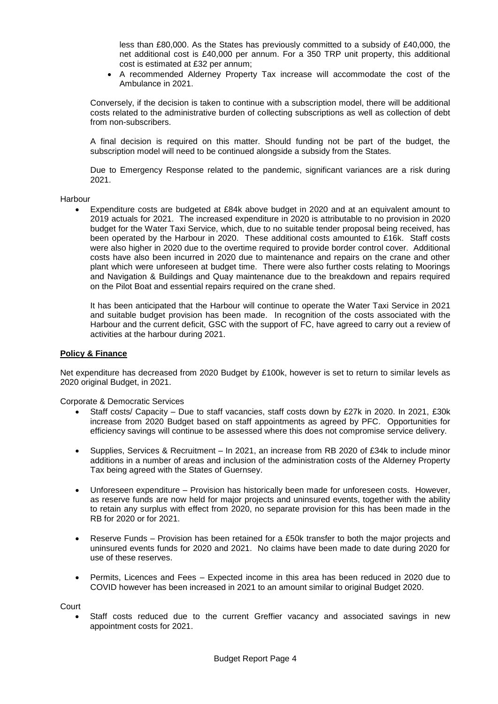less than £80,000. As the States has previously committed to a subsidy of £40,000, the net additional cost is £40,000 per annum. For a 350 TRP unit property, this additional cost is estimated at £32 per annum;

 A recommended Alderney Property Tax increase will accommodate the cost of the Ambulance in 2021.

Conversely, if the decision is taken to continue with a subscription model, there will be additional costs related to the administrative burden of collecting subscriptions as well as collection of debt from non-subscribers.

A final decision is required on this matter. Should funding not be part of the budget, the subscription model will need to be continued alongside a subsidy from the States.

Due to Emergency Response related to the pandemic, significant variances are a risk during 2021.

#### Harbour

 Expenditure costs are budgeted at £84k above budget in 2020 and at an equivalent amount to 2019 actuals for 2021. The increased expenditure in 2020 is attributable to no provision in 2020 budget for the Water Taxi Service, which, due to no suitable tender proposal being received, has been operated by the Harbour in 2020. These additional costs amounted to £16k. Staff costs were also higher in 2020 due to the overtime required to provide border control cover. Additional costs have also been incurred in 2020 due to maintenance and repairs on the crane and other plant which were unforeseen at budget time. There were also further costs relating to Moorings and Navigation & Buildings and Quay maintenance due to the breakdown and repairs required on the Pilot Boat and essential repairs required on the crane shed.

It has been anticipated that the Harbour will continue to operate the Water Taxi Service in 2021 and suitable budget provision has been made. In recognition of the costs associated with the Harbour and the current deficit, GSC with the support of FC, have agreed to carry out a review of activities at the harbour during 2021.

#### **Policy & Finance**

Net expenditure has decreased from 2020 Budget by £100k, however is set to return to similar levels as 2020 original Budget, in 2021.

#### Corporate & Democratic Services

- Staff costs/ Capacity Due to staff vacancies, staff costs down by £27k in 2020. In 2021, £30k increase from 2020 Budget based on staff appointments as agreed by PFC. Opportunities for efficiency savings will continue to be assessed where this does not compromise service delivery.
- Supplies, Services & Recruitment In 2021, an increase from RB 2020 of £34k to include minor additions in a number of areas and inclusion of the administration costs of the Alderney Property Tax being agreed with the States of Guernsey.
- Unforeseen expenditure Provision has historically been made for unforeseen costs. However, as reserve funds are now held for major projects and uninsured events, together with the ability to retain any surplus with effect from 2020, no separate provision for this has been made in the RB for 2020 or for 2021.
- Reserve Funds Provision has been retained for a £50k transfer to both the major projects and uninsured events funds for 2020 and 2021. No claims have been made to date during 2020 for use of these reserves.
- Permits, Licences and Fees Expected income in this area has been reduced in 2020 due to COVID however has been increased in 2021 to an amount similar to original Budget 2020.

**Court** 

 Staff costs reduced due to the current Greffier vacancy and associated savings in new appointment costs for 2021.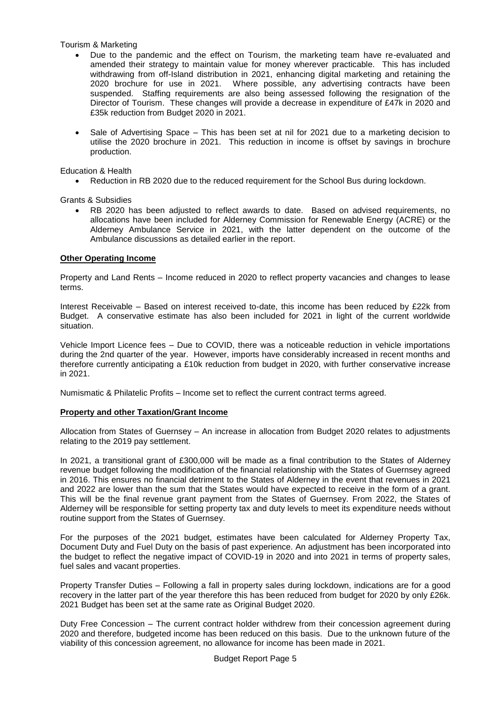Tourism & Marketing

- Due to the pandemic and the effect on Tourism, the marketing team have re-evaluated and amended their strategy to maintain value for money wherever practicable. This has included withdrawing from off-Island distribution in 2021, enhancing digital marketing and retaining the 2020 brochure for use in 2021. Where possible, any advertising contracts have been suspended. Staffing requirements are also being assessed following the resignation of the Director of Tourism. These changes will provide a decrease in expenditure of £47k in 2020 and £35k reduction from Budget 2020 in 2021.
- Sale of Advertising Space This has been set at nil for 2021 due to a marketing decision to utilise the 2020 brochure in 2021. This reduction in income is offset by savings in brochure production.

Education & Health

• Reduction in RB 2020 due to the reduced requirement for the School Bus during lockdown.

Grants & Subsidies

 RB 2020 has been adjusted to reflect awards to date. Based on advised requirements, no allocations have been included for Alderney Commission for Renewable Energy (ACRE) or the Alderney Ambulance Service in 2021, with the latter dependent on the outcome of the Ambulance discussions as detailed earlier in the report.

#### **Other Operating Income**

Property and Land Rents – Income reduced in 2020 to reflect property vacancies and changes to lease terms.

Interest Receivable – Based on interest received to-date, this income has been reduced by £22k from Budget. A conservative estimate has also been included for 2021 in light of the current worldwide situation.

Vehicle Import Licence fees – Due to COVID, there was a noticeable reduction in vehicle importations during the 2nd quarter of the year. However, imports have considerably increased in recent months and therefore currently anticipating a £10k reduction from budget in 2020, with further conservative increase in 2021.

Numismatic & Philatelic Profits – Income set to reflect the current contract terms agreed.

#### **Property and other Taxation/Grant Income**

Allocation from States of Guernsey – An increase in allocation from Budget 2020 relates to adjustments relating to the 2019 pay settlement.

In 2021, a transitional grant of £300,000 will be made as a final contribution to the States of Alderney revenue budget following the modification of the financial relationship with the States of Guernsey agreed in 2016. This ensures no financial detriment to the States of Alderney in the event that revenues in 2021 and 2022 are lower than the sum that the States would have expected to receive in the form of a grant. This will be the final revenue grant payment from the States of Guernsey. From 2022, the States of Alderney will be responsible for setting property tax and duty levels to meet its expenditure needs without routine support from the States of Guernsey.

For the purposes of the 2021 budget, estimates have been calculated for Alderney Property Tax, Document Duty and Fuel Duty on the basis of past experience. An adjustment has been incorporated into the budget to reflect the negative impact of COVID-19 in 2020 and into 2021 in terms of property sales, fuel sales and vacant properties.

Property Transfer Duties – Following a fall in property sales during lockdown, indications are for a good recovery in the latter part of the year therefore this has been reduced from budget for 2020 by only £26k. 2021 Budget has been set at the same rate as Original Budget 2020.

Duty Free Concession – The current contract holder withdrew from their concession agreement during 2020 and therefore, budgeted income has been reduced on this basis. Due to the unknown future of the viability of this concession agreement, no allowance for income has been made in 2021.

Budget Report Page 5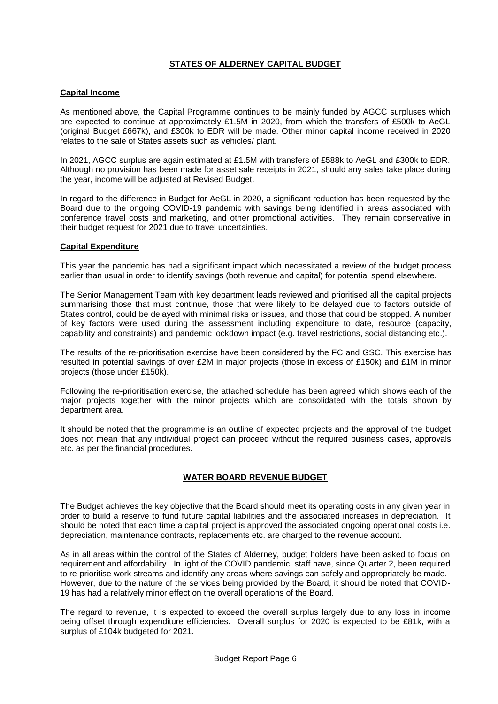# **STATES OF ALDERNEY CAPITAL BUDGET**

#### **Capital Income**

As mentioned above, the Capital Programme continues to be mainly funded by AGCC surpluses which are expected to continue at approximately £1.5M in 2020, from which the transfers of £500k to AeGL (original Budget £667k), and £300k to EDR will be made. Other minor capital income received in 2020 relates to the sale of States assets such as vehicles/ plant.

In 2021, AGCC surplus are again estimated at £1.5M with transfers of £588k to AeGL and £300k to EDR. Although no provision has been made for asset sale receipts in 2021, should any sales take place during the year, income will be adjusted at Revised Budget.

In regard to the difference in Budget for AeGL in 2020, a significant reduction has been requested by the Board due to the ongoing COVID-19 pandemic with savings being identified in areas associated with conference travel costs and marketing, and other promotional activities. They remain conservative in their budget request for 2021 due to travel uncertainties.

#### **Capital Expenditure**

This year the pandemic has had a significant impact which necessitated a review of the budget process earlier than usual in order to identify savings (both revenue and capital) for potential spend elsewhere.

The Senior Management Team with key department leads reviewed and prioritised all the capital projects summarising those that must continue, those that were likely to be delayed due to factors outside of States control, could be delayed with minimal risks or issues, and those that could be stopped. A number of key factors were used during the assessment including expenditure to date, resource (capacity, capability and constraints) and pandemic lockdown impact (e.g. travel restrictions, social distancing etc.).

The results of the re-prioritisation exercise have been considered by the FC and GSC. This exercise has resulted in potential savings of over £2M in major projects (those in excess of £150k) and £1M in minor projects (those under £150k).

Following the re-prioritisation exercise, the attached schedule has been agreed which shows each of the major projects together with the minor projects which are consolidated with the totals shown by department area.

It should be noted that the programme is an outline of expected projects and the approval of the budget does not mean that any individual project can proceed without the required business cases, approvals etc. as per the financial procedures.

### **WATER BOARD REVENUE BUDGET**

The Budget achieves the key objective that the Board should meet its operating costs in any given year in order to build a reserve to fund future capital liabilities and the associated increases in depreciation. It should be noted that each time a capital project is approved the associated ongoing operational costs i.e. depreciation, maintenance contracts, replacements etc. are charged to the revenue account.

As in all areas within the control of the States of Alderney, budget holders have been asked to focus on requirement and affordability. In light of the COVID pandemic, staff have, since Quarter 2, been required to re-prioritise work streams and identify any areas where savings can safely and appropriately be made. However, due to the nature of the services being provided by the Board, it should be noted that COVID-19 has had a relatively minor effect on the overall operations of the Board.

The regard to revenue, it is expected to exceed the overall surplus largely due to any loss in income being offset through expenditure efficiencies. Overall surplus for 2020 is expected to be £81k, with a surplus of £104k budgeted for 2021.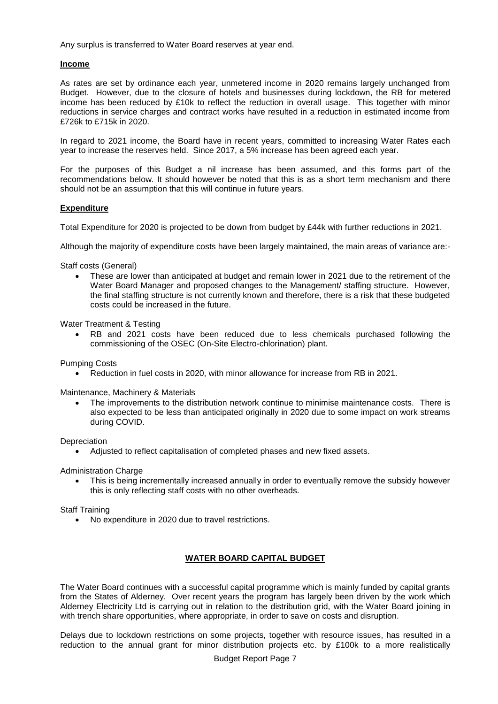Any surplus is transferred to Water Board reserves at year end.

#### **Income**

As rates are set by ordinance each year, unmetered income in 2020 remains largely unchanged from Budget. However, due to the closure of hotels and businesses during lockdown, the RB for metered income has been reduced by £10k to reflect the reduction in overall usage. This together with minor reductions in service charges and contract works have resulted in a reduction in estimated income from £726k to £715k in 2020.

In regard to 2021 income, the Board have in recent years, committed to increasing Water Rates each year to increase the reserves held. Since 2017, a 5% increase has been agreed each year.

For the purposes of this Budget a nil increase has been assumed, and this forms part of the recommendations below. It should however be noted that this is as a short term mechanism and there should not be an assumption that this will continue in future years.

#### **Expenditure**

Total Expenditure for 2020 is projected to be down from budget by £44k with further reductions in 2021.

Although the majority of expenditure costs have been largely maintained, the main areas of variance are:-

Staff costs (General)

 These are lower than anticipated at budget and remain lower in 2021 due to the retirement of the Water Board Manager and proposed changes to the Management/ staffing structure. However, the final staffing structure is not currently known and therefore, there is a risk that these budgeted costs could be increased in the future.

Water Treatment & Testing

 RB and 2021 costs have been reduced due to less chemicals purchased following the commissioning of the OSEC (On-Site Electro-chlorination) plant.

Pumping Costs

Reduction in fuel costs in 2020, with minor allowance for increase from RB in 2021.

Maintenance, Machinery & Materials

 The improvements to the distribution network continue to minimise maintenance costs. There is also expected to be less than anticipated originally in 2020 due to some impact on work streams during COVID.

**Depreciation** 

Adjusted to reflect capitalisation of completed phases and new fixed assets.

Administration Charge

 This is being incrementally increased annually in order to eventually remove the subsidy however this is only reflecting staff costs with no other overheads.

Staff Training

No expenditure in 2020 due to travel restrictions.

### **WATER BOARD CAPITAL BUDGET**

The Water Board continues with a successful capital programme which is mainly funded by capital grants from the States of Alderney. Over recent years the program has largely been driven by the work which Alderney Electricity Ltd is carrying out in relation to the distribution grid, with the Water Board joining in with trench share opportunities, where appropriate, in order to save on costs and disruption.

Delays due to lockdown restrictions on some projects, together with resource issues, has resulted in a reduction to the annual grant for minor distribution projects etc. by £100k to a more realistically

Budget Report Page 7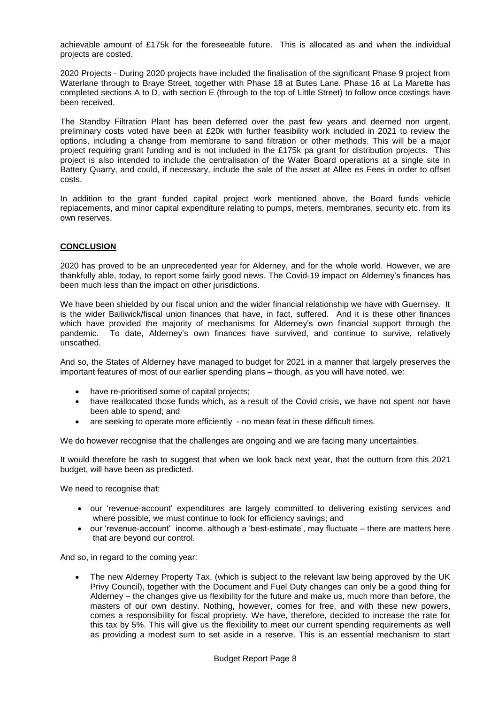achievable amount of £175k for the foreseeable future. This is allocated as and when the individual projects are costed.

2020 Projects - During 2020 projects have included the finalisation of the significant Phase 9 project from Waterlane through to Braye Street, together with Phase 18 at Butes Lane. Phase 16 at La Marette has completed sections A to D, with section E (through to the top of Little Street) to follow once costings have been received.

The Standby Filtration Plant has been deferred over the past few years and deemed non urgent, preliminary costs voted have been at £20k with further feasibility work included in 2021 to review the options, including a change from membrane to sand filtration or other methods. This will be a major project requiring grant funding and is not included in the £175k pa grant for distribution projects. This project is also intended to include the centralisation of the Water Board operations at a single site in Battery Quarry, and could, if necessary, include the sale of the asset at Allee es Fees in order to offset costs.

In addition to the grant funded capital project work mentioned above, the Board funds vehicle replacements, and minor capital expenditure relating to pumps, meters, membranes, security etc. from its own reserves.

#### **CONCLUSION**

2020 has proved to be an unprecedented year for Alderney, and for the whole world. However, we are thankfully able, today, to report some fairly good news. The Covid-19 impact on Alderney's finances has been much less than the impact on other jurisdictions.

We have been shielded by our fiscal union and the wider financial relationship we have with Guernsey. It is the wider Bailiwick/fiscal union finances that have, in fact, suffered. And it is these other finances which have provided the majority of mechanisms for Alderney's own financial support through the pandemic. To date, Alderney's own finances have survived, and continue to survive, relatively unscathed.

And so, the States of Alderney have managed to budget for 2021 in a manner that largely preserves the important features of most of our earlier spending plans – though, as you will have noted, we:

- have re-prioritised some of capital projects;
- have reallocated those funds which, as a result of the Covid crisis, we have not spent nor have been able to spend; and
- are seeking to operate more efficiently no mean feat in these difficult times.

We do however recognise that the challenges are ongoing and we are facing many uncertainties.

It would therefore be rash to suggest that when we look back next year, that the outturn from this 2021 budget, will have been as predicted.

We need to recognise that:

- our 'revenue-account' expenditures are largely committed to delivering existing services and where possible, we must continue to look for efficiency savings; and
- our 'revenue-account' income, although a 'best-estimate', may fluctuate there are matters here that are beyond our control.

And so, in regard to the coming year:

 The new Alderney Property Tax, (which is subject to the relevant law being approved by the UK Privy Council), together with the Document and Fuel Duty changes can only be a good thing for Alderney – the changes give us flexibility for the future and make us, much more than before, the masters of our own destiny. Nothing, however, comes for free, and with these new powers, comes a responsibility for fiscal propriety. We have, therefore, decided to increase the rate for this tax by 5%. This will give us the flexibility to meet our current spending requirements as well as providing a modest sum to set aside in a reserve. This is an essential mechanism to start